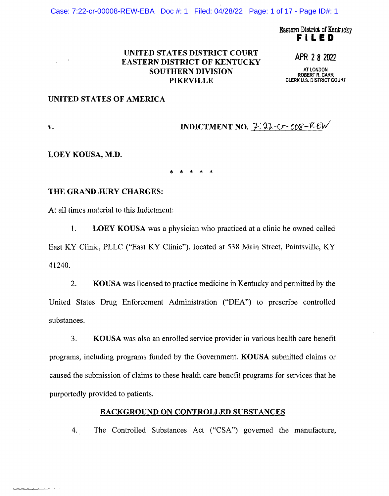Case: 7:22-cr-00008-REW-EBA Doc #: 1 Filed: 04/28/22 Page: 1 of 17 - Page ID#: 1

Eastern District of Kentucky **FILED** 

### UNITED STATES DISTRICT COURT EASTERN DISTRICT OF KENTUCKY SOUTHERN DIVISION PIKEVILLE

APR 2 8 2022

**AT LONDON ROBERT R. CARR CLERK U.S. DISTRICT COURT** 

### UNITED STATES OF AMERICA

**v.** INDICTMENT NO.  $\overline{2}:22-Cr-008-REW'$ 

### **LOEY KOUSA, M.D.**

\* \* \* \* \*

### **THE GRAND JURY CHARGES:**

At all times material to this Indictment:

1. **LOEY KOUSA** was a physician who practiced at a clinic he owned called East KY Clinic, PLLC ("East KY Clinic"), located at 538 Main Street, Paintsville, KY 41240.

2. **KOUSA** was licensed to practice medicine in Kentucky and permitted by the United States Drug Enforcement Administration ("DEA") to prescribe controlled substances.

3. **KOUSA** was also an enrolled service provider in various health care benefit programs, including programs funded by the Government. **KOUSA** submitted claims or caused the submission of claims to these health care benefit programs for services that he purportedly provided to patients.

### **BACKGROUND ON CONTROLLED SUBSTANCES**

4. The Controlled Substances Act ("CSA") governed the manufacture,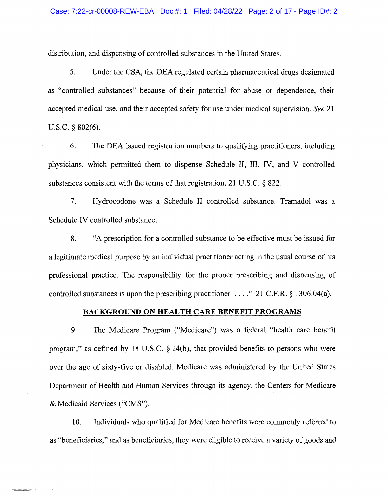distribution, and dispensing of controlled substances in the United States.

5. Under the CSA, the DEA regulated certain pharmaceutical drugs designated as "controlled substances" because of their potential for abuse or dependence, their accepted medical use, and their accepted safety for use under medical supervision. *See* 21 U.S.C. § 802(6).

6. The DEA issued registration numbers to qualifying practitioners, including physicians, which permitted them to dispense Schedule II, III, IV, and V controlled substances consistent with the terms of that registration. 21 U.S.C. § 822.

7. Hydrocodone was a Schedule II controlled substance. Tramadol was a Schedule IV controlled substance.

8. "A prescription for a controlled substance to be effective must be issued for a legitimate medical purpose by an individual practitioner acting in the usual course of his professional practice. The responsibility for the proper prescribing and dispensing of controlled substances is upon the prescribing practitioner  $\dots$  " 21 C.F.R. § 1306.04(a).

#### **BACKGROUND ON HEALTH CARE BENEFIT PROGRAMS**

9. The Medicare Program ("Medicare") was a federal "health care benefit program," as defined by 18 U.S.C. § 24(b), that provided benefits to persons who were over the age of sixty-five or disabled. Medicare was administered by the United States Department of Health and Human Services through its agency, the Centers for Medicare & Medicaid Services ("CMS").

10. Individuals who qualified for Medicare benefits were commonly referred to as "beneficiaries," and as beneficiaries, they were eligible to receive a variety of goods and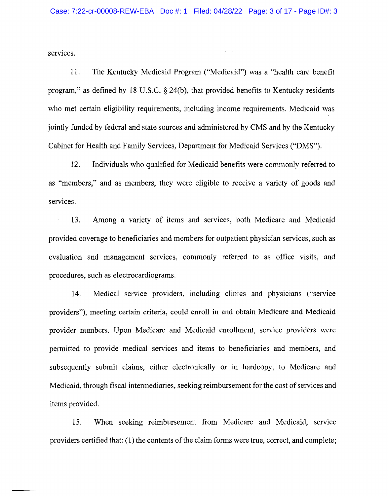services.

11. The Kentucky Medicaid Program ("Medicaid") was a "health care benefit program," as defined by 18 U.S.C. § 24(b), that provided benefits to Kentucky residents who met certain eligibility requirements, including income requirements. Medicaid was jointly funded by federal and state sources and administered by CMS and by the Kentucky Cabinet for Health and Family Services, Department for Medicaid Services ("OMS").

12. Individuals who qualified for Medicaid benefits were commonly referred to as "members," and as members, they were eligible to receive a variety of goods and services.

13. Among a variety of items and services, both Medicare and Medicaid provided coverage to beneficiaries and members for outpatient physician services, such as evaluation and management services, commonly referred to as office visits, and procedures, such as electrocardiograms.

14. Medical service providers, including clinics and physicians ("service providers"), meeting certain criteria, could enroll in and obtain Medicare and Medicaid provider numbers. Upon Medicare and Medicaid enrollment, service providers were permitted to provide medical services and items to beneficiaries and members, and subsequently submit claims, either electronically or in hardcopy, to Medicare and Medicaid, through fiscal intermediaries, seeking reimbursement for the cost of services and items provided.

15. When seeking reimbursement from Medicare and Medicaid, service providers certified that: (1) the contents of the claim forms were true, correct, and complete;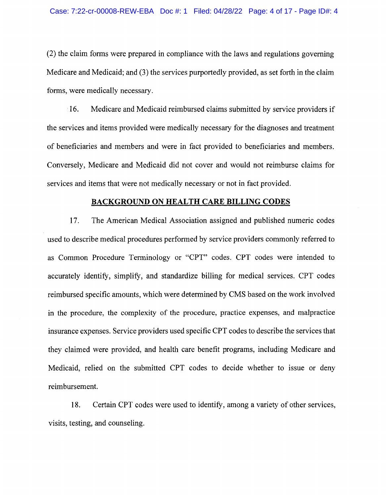(2) the claim forms were prepared in compliance with the laws and regulations governing Medicare and Medicaid; and (3) the services purportedly provided, as set forth in the claim forms, were medically necessary.

· 16. Medicare and Medicaid reimbursed claims submitted by service providers if the services and items provided were medically necessary for the diagnoses and treatment of beneficiaries and members and were in fact provided to beneficiaries and members. Conversely, Medicare and Medicaid did not cover and would not reimburse claims for services and items that were not medically necessary or not in fact provided.

### **BACKGROUND ON HEALTH CARE BILLING CODES**

17. The American Medical Association assigned and published numeric codes used to describe medical procedures performed by service providers commonly referred to as Common Procedure Terminology or "CPT" codes. CPT codes were intended to accurately identify, simplify, and standardize billing for medical services. CPT codes reimbursed specific amounts, which were determined by CMS based on the work involved in the procedure, the complexity of the procedure, practice expenses, and malpractice insurance expenses. Service providers used specific CPT codes to describe the services that they claimed were provided, and health care benefit programs, including Medicare and Medicaid, relied on the submitted CPT codes to decide whether to issue or deny reimbursement.

18. Certain CPT codes were used to identify, among a variety of other services, visits, testing, and counseling.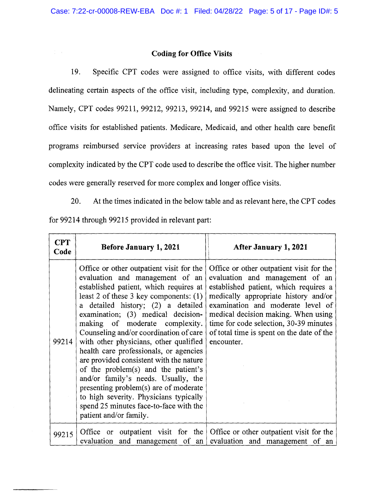### **Coding for Office Visits**

19. Specific CPT codes were assigned to office visits, with different codes delineating certain aspects of the office visit, including type, complexity, and duration. Namely, CPT codes 99211, 99212, 99213, 99214, and 99215 were assigned to describe office visits for established patients. Medicare, Medicaid, and other health care benefit programs reimbursed service providers at increasing rates based upon the level of complexity indicated by the CPT code used to describe the office visit. The higher number codes were generally reserved for more complex and longer office visits.

20. At the times indicated in the below table and as relevant here, the CPT codes

for 99214 through 99215 provided in relevant part:

 $\frac{1}{2}$  ,  $\frac{1}{2}$ 

| <b>CPT</b><br>Code | <b>Before January 1, 2021</b>                                                                                                                                                                                                                                                                                                                                                                                                                                                                                                                                                                                                                                                                 | After January 1, 2021                                                                                                                                                                                                                                                                                                                         |
|--------------------|-----------------------------------------------------------------------------------------------------------------------------------------------------------------------------------------------------------------------------------------------------------------------------------------------------------------------------------------------------------------------------------------------------------------------------------------------------------------------------------------------------------------------------------------------------------------------------------------------------------------------------------------------------------------------------------------------|-----------------------------------------------------------------------------------------------------------------------------------------------------------------------------------------------------------------------------------------------------------------------------------------------------------------------------------------------|
| 99214              | Office or other outpatient visit for the<br>evaluation and management of an<br>established patient, which requires at<br>least 2 of these 3 key components: $(1)$<br>a detailed history; (2) a detailed<br>examination; (3) medical decision-<br>making of moderate complexity.<br>Counseling and/or coordination of care<br>with other physicians, other qualified<br>health care professionals, or agencies<br>are provided consistent with the nature<br>of the problem(s) and the patient's<br>and/or family's needs. Usually, the<br>presenting problem(s) are of moderate<br>to high severity. Physicians typically<br>spend 25 minutes face-to-face with the<br>patient and/or family. | Office or other outpatient visit for the<br>evaluation and management of an<br>established patient, which requires a<br>medically appropriate history and/or<br>examination and moderate level of<br>medical decision making. When using<br>time for code selection, 30-39 minutes<br>of total time is spent on the date of the<br>encounter. |
| 99215              | outpatient visit for the<br>Office or<br>evaluation<br>and management of an                                                                                                                                                                                                                                                                                                                                                                                                                                                                                                                                                                                                                   | Office or other outpatient visit for the<br>evaluation and management of<br>an                                                                                                                                                                                                                                                                |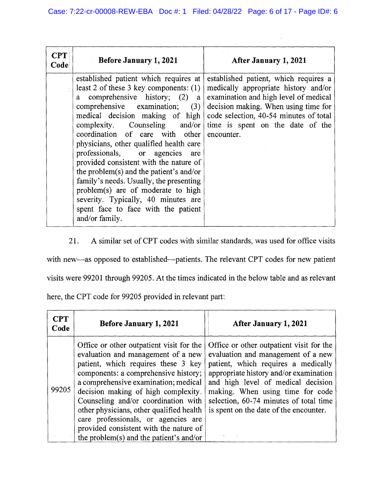$\bar{r}$ 

| <b>CPT</b><br>Code | Before January 1, 2021                                                                                                                                                                                                                                                                                                                                                                                                                                                                                                                                                                                                        | After January 1, 2021                                                                                                                                                                                                                                      |
|--------------------|-------------------------------------------------------------------------------------------------------------------------------------------------------------------------------------------------------------------------------------------------------------------------------------------------------------------------------------------------------------------------------------------------------------------------------------------------------------------------------------------------------------------------------------------------------------------------------------------------------------------------------|------------------------------------------------------------------------------------------------------------------------------------------------------------------------------------------------------------------------------------------------------------|
|                    | established patient which requires at<br>least 2 of these 3 key components: $(1)$<br>a comprehensive history; (2)<br>$\mathbf{a}$<br>comprehensive examination; (3)<br>medical decision making of high<br>complexity. Counseling and/or<br>coordination of care with other<br>physicians, other qualified health care<br>professionals, or agencies are<br>provided consistent with the nature of<br>the problem(s) and the patient's and/or<br>family's needs. Usually, the presenting<br>problem(s) are of moderate to high<br>severity. Typically, 40 minutes are<br>spent face to face with the patient<br>and/or family. | established patient, which requires a<br>medically appropriate history and/or<br>examination and high level of medical<br>decision making. When using time for<br>code selection, 40-54 minutes of total<br>time is spent on the date of the<br>encounter. |

21. A similar set of CPT codes with similar standards, was used for office visits

with new-as opposed to established--patients. The relevant CPT codes for new patient

visits were 99201 through 99205. At the times indicated in the below table and as relevant

here, the CPT code for 99205 provided in relevant part:

| $\bf CPT$<br>Code | Before January 1, 2021                                                                                                                                                                                                                                                                                                                                                                                                                                      | After January 1, 2021                                                                                                                                                                                                                                                                                                         |
|-------------------|-------------------------------------------------------------------------------------------------------------------------------------------------------------------------------------------------------------------------------------------------------------------------------------------------------------------------------------------------------------------------------------------------------------------------------------------------------------|-------------------------------------------------------------------------------------------------------------------------------------------------------------------------------------------------------------------------------------------------------------------------------------------------------------------------------|
| 99205             | Office or other outpatient visit for the<br>evaluation and management of a new<br>patient, which requires these 3 key<br>components: a comprehensive history;<br>a comprehensive examination; medical<br>decision making of high complexity.<br>Counseling and/or coordination with<br>other physicians, other qualified health<br>care professionals, or agencies are<br>provided consistent with the nature of<br>the problem(s) and the patient's and/or | Office or other outpatient visit for the<br>evaluation and management of a new<br>patient, which requires a medically<br>appropriate history and/or examination<br>and high level of medical decision<br>making. When using time for code<br>selection, 60-74 minutes of total time<br>is spent on the date of the encounter. |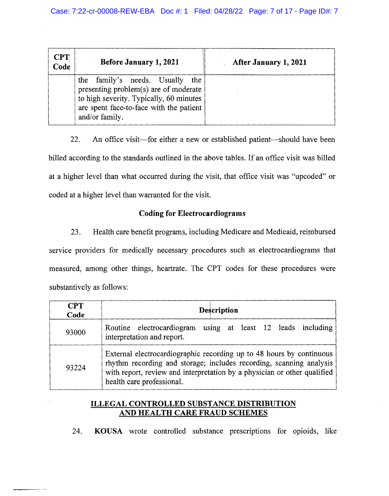| <b>CPT</b><br>Code | Before January 1, 2021                                                                                                                                                                 | After January 1, 2021 |
|--------------------|----------------------------------------------------------------------------------------------------------------------------------------------------------------------------------------|-----------------------|
|                    | family's needs. Usually<br>the<br>the<br>presenting problem(s) are of moderate<br>to high severity. Typically, 60 minutes<br>are spent face-to-face with the patient<br>and/or family. |                       |

22. An office visit—for either a new or established patient—should have been billed according to the standards outlined in the above tables. If an office visit was billed at a higher level than what occurred during the visit, that office visit was "upcoded" or coded at a higher level than warranted for the visit.

### **Coding for Electrocardiograms**

23. Health care benefit programs, including Medicare and Medicaid, reimbursed service providers for medically necessary procedures such as electrocardiograms that measured, among other things, heartrate. The CPT codes for these procedures were substantively as follows:

| <b>CPT</b><br>Code | <b>Description</b>                                                                                                                                                                                                                                   |
|--------------------|------------------------------------------------------------------------------------------------------------------------------------------------------------------------------------------------------------------------------------------------------|
| 93000              | Routine electrocardiogram using at least 12 leads including<br>interpretation and report.                                                                                                                                                            |
| 93224              | External electrocardiographic recording up to 48 hours by continuous<br>rhythm recording and storage; includes recording, scanning analysis<br>with report, review and interpretation by a physician or other qualified<br>health care professional. |

# **ILLEGAL CONTROLLED SUBSTANCE DISTRIBUTION AND HEALTH CARE FRAUD SCHEMES**

24. **KOUSA** wrote controlled substance prescriptions for opioids, like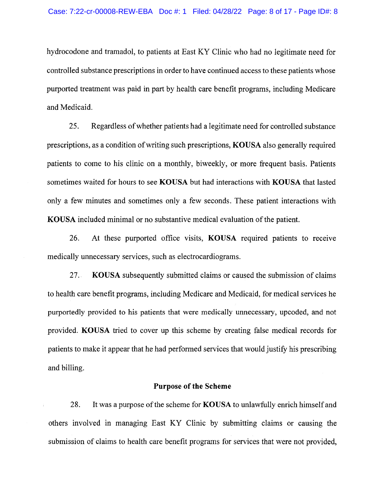hydrocodone and tramadol, to patients at East KY Clinic who had no legitimate need for controlled substance prescriptions in order to have continued access to these patients whose purported treatment was paid in part by health care benefit programs, including Medicare and Medicaid.

25. Regardless of whether patients had a legitimate need for controlled substance prescriptions, as a condition of writing such prescriptions, **KO USA** also generally required patients to come to his clinic on a monthly, biweekly, or more frequent basis. Patients sometimes waited for hours to see **KOUSA** but had interactions with **KOUSA** that lasted only a few minutes and sometimes only a few seconds. These patient interactions with **KOUSA** included minimal or no substantive medical evaluation of the patient.

26. At these purported office visits, **KOUSA** required patients to receive medically unnecessary services, such as electrocardiograms.

27. **KOUSA** subsequently submitted claims or caused the submission of claims to health care benefit programs, including Medicare and Medicaid, for medical services he purportedly provided to his patients that were medically unnecessary, upcoded, and not provided. **KOUSA** tried to cover up this scheme by creating false medical records for patients to make it appear that he had performed services that would justify his prescribing and billing.

#### **Purpose of the Scheme**

28. It was a purpose of the scheme for **KO USA** to unlawfully enrich himself and others involved in managing East KY Clinic by submitting claims or causing the submission of claims to health care benefit programs for services that were not provided,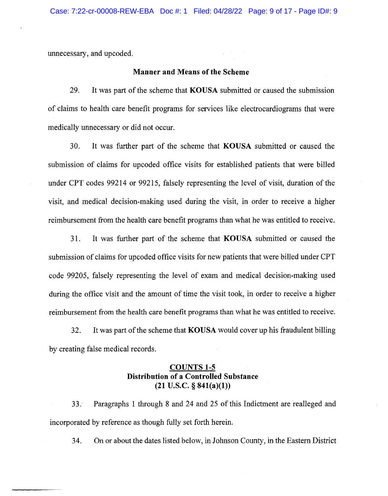unnecessary, and upcoded.

#### **Manner and Means of the Scheme**

29. It was part of the scheme that **KO USA** submitted or caused the submission of claims to health care benefit programs for services like electrocardiograms that were medically unnecessary or did not occur.

30. It was further part of the scheme that **KOUSA** submitted or caused the submission of claims for upcoded office visits for established patients that were billed under CPT codes 99214 or 99215, falsely representing the level of visit, duration of the visit, and medical decision-making used during the visit, in order to receive a higher reimbursement from the health care benefit programs than what he was entitled to receive.

31. It was further part of the scheme that **KOUSA** submitted or caused the submission of claims for upcoded office visits for new patients that were billed under CPT code 99205, falsely representing the level of exam and medical decision-making used during the office visit and the amount of time the visit took, in order to receive a higher reimbursement from the health care benefit programs than what he was entitled to receive.

32. It was part of the scheme that **KOUSA** would cover up his fraudulent billing by creating false medical records.

# **COUNTS 1-5 Distribution of a Controlled Substance (21 U.S.C.** § **841(a)(l))**

33. Paragraphs 1 through 8 and 24 and 25 of this Indictment are realleged and incorporated by reference as though fully set forth herein.

34. On or about the dates listed below, in Johnson County, in the Eastern District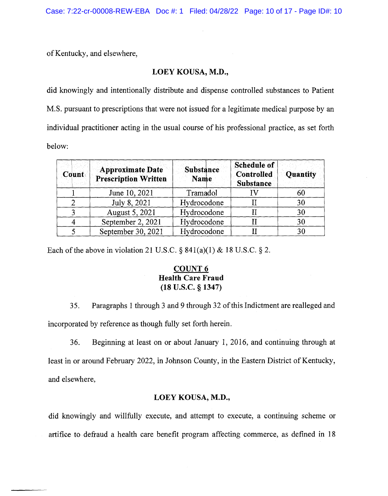of Kentucky, and elsewhere,

### **LOEY KOUSA, M.D.,**

did knowingly and intentionally distribute and dispense controlled substances to Patient M.S. pursuant to prescriptions that were not issued for a legitimate medical purpose by an individual practitioner acting in the usual course of his professional practice, as set forth below:

| Count | <b>Approximate Date</b><br><b>Prescription Written</b> | <b>Substance</b><br>Name | <b>Schedule of</b><br>Controlled<br><b>Substance</b> | Quantity |
|-------|--------------------------------------------------------|--------------------------|------------------------------------------------------|----------|
|       | June 10, 2021                                          | Tramadol                 |                                                      | 60       |
|       | July 8, 2021                                           | Hydrocodone              |                                                      | 30       |
|       | August 5, 2021                                         | Hydrocodone              |                                                      | 30       |
|       | September 2, 2021                                      | Hydrocodone              |                                                      | 30       |
|       | September 30, 2021                                     | Hydrocodone              |                                                      | 30       |

Each of the above in violation 21 U.S.C.  $\S 841(a)(1) \& 18$  U.S.C.  $\S 2$ .

# **COUNT6 Health Care Fraud (18 u.s.c.** § **1347)**

35. Paragraphs 1 through 3 and 9 through 32 of this Indictment are realleged and incorporated by reference as though fully set forth herein.

36. Beginning at least on or about January 1, 2016, and continuing through at least in or around February 2022, in Johnson County, in the Eastern District of Kentucky, and elsewhere,

### **LOEY KOUSA, M.D.,**

did knowingly and willfully execute, and attempt to execute, a continuing scheme or artifice to defraud a health care benefit program affecting commerce, as defined in 18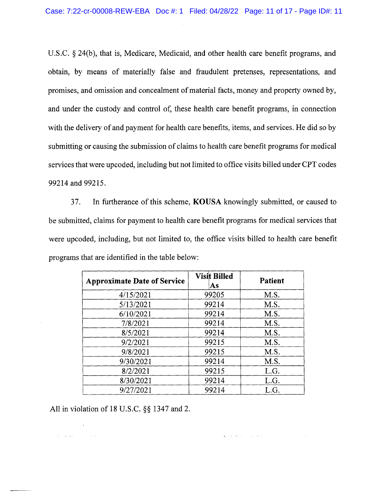U.S.C. § 24(b), that is, Medicare, Medicaid, and other health care benefit programs, and obtain, by means of materially false and fraudulent pretenses, representations, and promises, and omission and concealment of material facts, money and property owned by, and under the custody and control of, these health care benefit programs, in connection with the delivery of and payment for health care benefits, items, and services. He did so by submitting or causing the submission of claims to health care benefit programs for medical services that were upcoded, including but not limited to office visits billed under CPT codes 99214 and 99215.

37. In furtherance of this scheme, **KO USA** knowingly submitted, or caused to be submitted, claims for payment to health care benefit programs for medical services that were upcoded, including, but not limited to, the office visits billed to health care benefit programs that are identified in the table below:

| <b>Approximate Date of Service</b> | <b>Visit Billed</b><br>As | <b>Patient</b> |
|------------------------------------|---------------------------|----------------|
| 4/15/2021                          | 99205                     | M.S.           |
| 5/13/2021                          | 99214                     | M.S.           |
| 6/10/2021                          | 99214                     | M.S.           |
| 7/8/2021                           | 99214                     | M.S.           |
| 8/5/2021                           | 99214                     | M.S.           |
| 9/2/2021                           | 99215                     | M.S.           |
| 9/8/2021                           | 99215                     | M.S.           |
| 9/30/2021                          | 99214                     | M.S.           |
| 8/2/2021                           | 99215                     | L.G.           |
| 8/30/2021                          | 99214                     | L.G.           |
| 9/27/2021                          | 99214                     | L.G.           |

 $\mathcal{F}^{(1)}_{\mathcal{F}^{(1)}}$  . The following the following properties of  $\mathcal{F}^{(1)}_{\mathcal{F}^{(1)}}$ 

All in violation of 18 U.S.C. §§ 1347 and 2.

and the property of the company of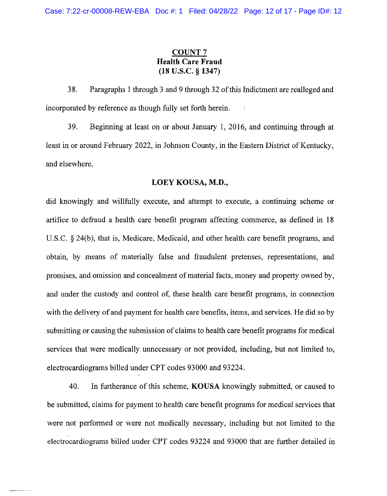# **COUNT7 Health Care Fraud (18 u.s.c.** § **1347)**

38. Paragraphs 1 through 3 and 9 through 32 of this Indictment are realleged and incorporated by reference as though fully set forth herein.

39. Beginning at least on or about January 1, 2016, and continuing through at least in or around February 2022, in Johnson County, in the Eastern District of Kentucky, and elsewhere,

#### **LOEY KOUSA, M.D.,**

did knowingly and willfully execute, and attempt to execute, a continuing scheme or artifice to defraud a health care benefit program affecting commerce, as defined in 18 U.S.C.  $\S 24(b)$ , that is, Medicare, Medicaid, and other health care benefit programs, and obtain, by means of materially false and fraudulent pretenses, representations, and promises, and omission and concealment of material facts, money and property owned by, and under the custody and control of, these health care benefit programs, in connection with the delivery of and payment for health care benefits, items, and services. He did so by submitting or causing the submission of claims to health care benefit programs for medical services that were medically unnecessary or not provided, including, but not limited to, electrocardiograms billed under CPT codes 93000 and 93224.

40. In furtherance of this scheme, **KO USA** knowingly submitted, or caused to be submitted, claims for payment to health care benefit programs for medical services that were not performed or were not medically necessary, including but not limited to the electrocardiograms billed under CPT codes 93224 and 93000 that are further detailed in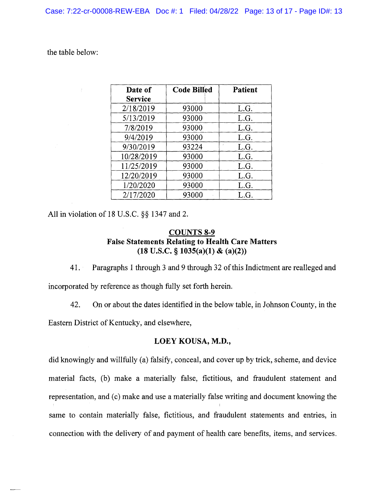the table below:

| Date of        | <b>Code Billed</b> | <b>Patient</b> |
|----------------|--------------------|----------------|
| <b>Service</b> |                    |                |
| 2/18/2019      | 93000              | L.G.           |
| 5/13/2019      | 93000              | L.G.           |
| 7/8/2019       | 93000              | L.G.           |
| 9/4/2019       | 93000              | L.G.           |
| 9/30/2019      | 93224              | L.G.           |
| 10/28/2019     | 93000              | L.G.           |
| 11/25/2019     | 93000              | L.G.           |
| 12/20/2019     | 93000              | L.G.           |
| 1/20/2020      | 93000              | L.G.           |
| 2/17/2020      | 93000              | L.G.           |

All in violation of 18 U.S.C. §§ 1347 and 2.

# **COUNTS 8-9 False Statements Relating to Health Care Matters (18 U.S.C.** § **1035(a)(l) & (a)(2))**

41. Paragraphs 1 through 3 and 9 through 32 of this Indictment are realleged and incorporated by reference as though fully set forth herein.

42. On or about the dates identified in the below table, in Johnson County, in the Eastern District of Kentucky, and elsewhere,

# **LOEY KOUSA, M.D.,**

did knowingly and willfully (a) falsify, conceal, and cover up by trick, scheme, and device material facts, (b) make a materially false, fictitious, and fraudulent statement and representation, and (c) make and use a materially false writing and document knowing the same to contain materially false, fictitious, and fraudulent statements and entries, in connection with the delivery of and payment of health care benefits, items, and services.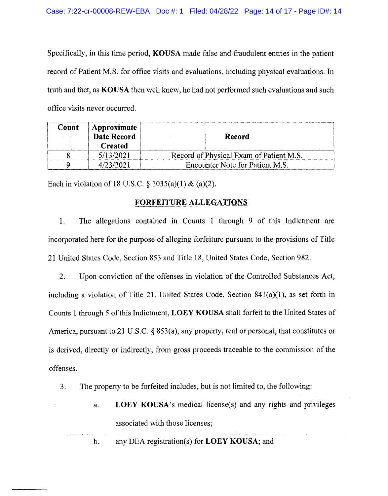Specifically, in this time period, **KOUSA** made false and fraudulent entries in the patient record of Patient M.S. for office visits and evaluations, including physical evaluations. In truth and fact, as **KO USA** then well knew, he had not performed such evaluations and such office visits never occurred.

| Count | Approximate<br>Date Record<br><b>Created</b> | Record                                  |
|-------|----------------------------------------------|-----------------------------------------|
|       | 5/13/2021                                    | Record of Physical Exam of Patient M.S. |
|       | 4/23/2021                                    | Encounter Note for Patient M.S.         |

Each in violation of 18 U.S.C.  $\S$  1035(a)(1) & (a)(2).

# **FORFEITURE ALLEGATIONS**

1. The allegations contained in Counts 1 through 9 of this Indictment are incorporated here for the purpose of alleging forfeiture pursuant to the provisions of Title 21 United States Code, Section 853 and Title 18, United States Code, Section 982.

2. Upon conviction of the offenses in violation of the Controlled Substances Act, including a violation of Title 21, United States Code, Section  $841(a)(1)$ , as set forth in Counts I through 5 of this Indictment, **LOEY KO USA** shall forfeit to the United States of America, pursuant to 21 U.S.C. § 853(a), any property, real or personal, that constitutes or is derived, directly or indirectly, from gross proceeds traceable to the commission of the offenses.

- 3. The property to be forfeited includes, but is not limited to, the following:
	- a. **LOEY KOUSA's** medical license(s) and any rights and privileges associated with those licenses;

b. any DEA registration(s) for **LOEY KOUSA;** and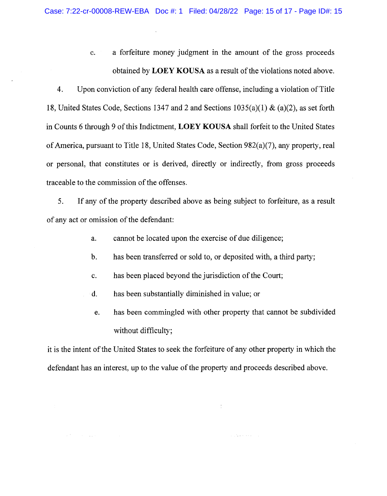c. a forfeiture money judgment in the amount of the gross proceeds obtained by **LOEY KOUSA** as a result of the violations noted above.

4. Upon conviction of any federal health care offense, including a violation of Title 18, United States Code, Sections 1347 and 2 and Sections 1035(a)(l) & (a)(2), as set forth in Counts 6 through 9 of this Indictment, **LOEY KOUSA** shall forfeit to the United States of America, pursuant to Title 18, United States Code, Section 982(a)(7), any property, real or personal, that constitutes or is derived, directly or indirectly, from gross proceeds traceable to the commission of the offenses.

5. If any of the property described above as being subject to forfeiture, as a result of any act or omission of the defendant:

- a. cannot be located upon the exercise of due diligence;
- b. has been transferred or sold to, or deposited with, a third party;
- c. has been placed beyond the jurisdiction of the Court;
- d. has been substantially diminished in value; or
- e. has been commingled with other property that cannot be subdivided without difficulty;

 $\frac{1}{4}$ 

الأحجاب والأرادي

it is the intent of the United States to seek the forfeiture of any other property in which the defendant has an interest, up to the value of the property and proceeds described above.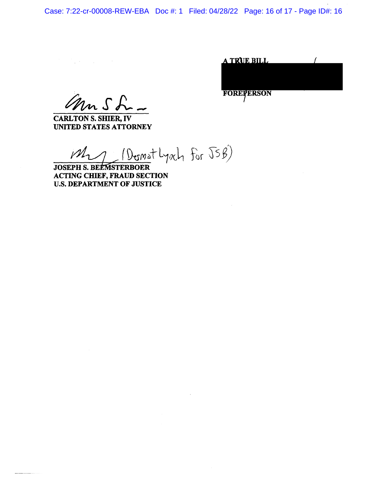Case: 7:22-cr-00008-REW-EBA Doc #: 1 Filed: 04/28/22 Page: 16 of 17 - Page ID#: 16

| the state of the state of the state of |  |                                |  |
|----------------------------------------|--|--------------------------------|--|
|                                        |  | and the company of the company |  |

ann Sh

**CARL TON S. SHIER,** IV **UNITED STATES ATTORNEY** 

 $M_{21}$  ( Domat Lynch for  $\sqrt{556}$ )

**JOSEPH S. BEEMSTERBOER ACTING CHIEF, FRAUD SECTION**  U.S. **DEPARTMENT OF JUSTICE** 

A TRUE BILL **FOREFERSON**